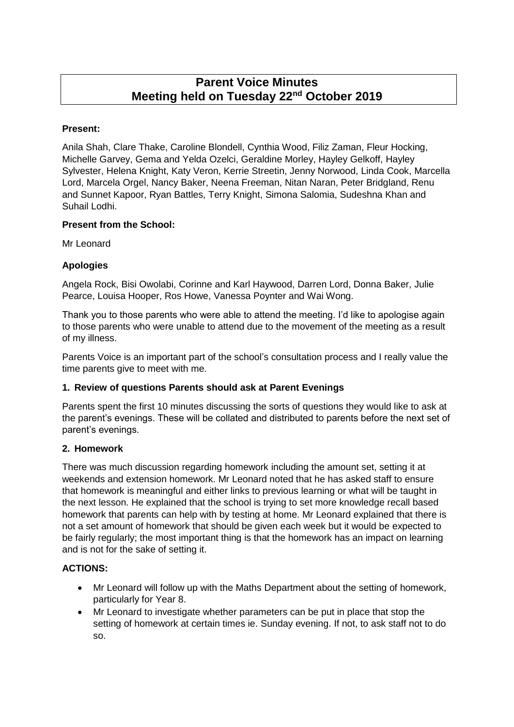# **Parent Voice Minutes Meeting held on Tuesday 22nd October 2019**

# **Present:**

Anila Shah, Clare Thake, Caroline Blondell, Cynthia Wood, Filiz Zaman, Fleur Hocking, Michelle Garvey, Gema and Yelda Ozelci, Geraldine Morley, Hayley Gelkoff, Hayley Sylvester, Helena Knight, Katy Veron, Kerrie Streetin, Jenny Norwood, Linda Cook, Marcella Lord, Marcela Orgel, Nancy Baker, Neena Freeman, Nitan Naran, Peter Bridgland, Renu and Sunnet Kapoor, Ryan Battles, Terry Knight, Simona Salomia, Sudeshna Khan and Suhail Lodhi.

#### **Present from the School:**

Mr Leonard

# **Apologies**

Angela Rock, Bisi Owolabi, Corinne and Karl Haywood, Darren Lord, Donna Baker, Julie Pearce, Louisa Hooper, Ros Howe, Vanessa Poynter and Wai Wong.

Thank you to those parents who were able to attend the meeting. I'd like to apologise again to those parents who were unable to attend due to the movement of the meeting as a result of my illness.

Parents Voice is an important part of the school's consultation process and I really value the time parents give to meet with me.

# **1. Review of questions Parents should ask at Parent Evenings**

Parents spent the first 10 minutes discussing the sorts of questions they would like to ask at the parent's evenings. These will be collated and distributed to parents before the next set of parent's evenings.

#### **2. Homework**

There was much discussion regarding homework including the amount set, setting it at weekends and extension homework. Mr Leonard noted that he has asked staff to ensure that homework is meaningful and either links to previous learning or what will be taught in the next lesson. He explained that the school is trying to set more knowledge recall based homework that parents can help with by testing at home. Mr Leonard explained that there is not a set amount of homework that should be given each week but it would be expected to be fairly regularly; the most important thing is that the homework has an impact on learning and is not for the sake of setting it.

# **ACTIONS:**

- Mr Leonard will follow up with the Maths Department about the setting of homework, particularly for Year 8.
- Mr Leonard to investigate whether parameters can be put in place that stop the setting of homework at certain times ie. Sunday evening. If not, to ask staff not to do so.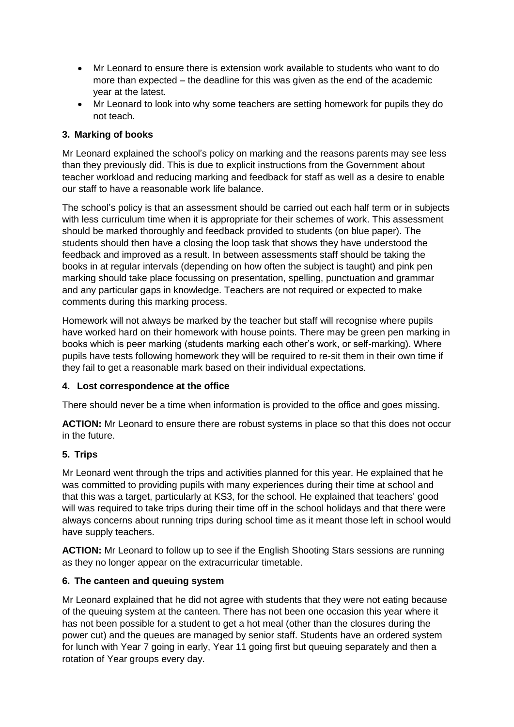- Mr Leonard to ensure there is extension work available to students who want to do more than expected – the deadline for this was given as the end of the academic year at the latest.
- Mr Leonard to look into why some teachers are setting homework for pupils they do not teach.

# **3. Marking of books**

Mr Leonard explained the school's policy on marking and the reasons parents may see less than they previously did. This is due to explicit instructions from the Government about teacher workload and reducing marking and feedback for staff as well as a desire to enable our staff to have a reasonable work life balance.

The school's policy is that an assessment should be carried out each half term or in subjects with less curriculum time when it is appropriate for their schemes of work. This assessment should be marked thoroughly and feedback provided to students (on blue paper). The students should then have a closing the loop task that shows they have understood the feedback and improved as a result. In between assessments staff should be taking the books in at regular intervals (depending on how often the subject is taught) and pink pen marking should take place focussing on presentation, spelling, punctuation and grammar and any particular gaps in knowledge. Teachers are not required or expected to make comments during this marking process.

Homework will not always be marked by the teacher but staff will recognise where pupils have worked hard on their homework with house points. There may be green pen marking in books which is peer marking (students marking each other's work, or self-marking). Where pupils have tests following homework they will be required to re-sit them in their own time if they fail to get a reasonable mark based on their individual expectations.

# **4. Lost correspondence at the office**

There should never be a time when information is provided to the office and goes missing.

**ACTION:** Mr Leonard to ensure there are robust systems in place so that this does not occur in the future.

# **5. Trips**

Mr Leonard went through the trips and activities planned for this year. He explained that he was committed to providing pupils with many experiences during their time at school and that this was a target, particularly at KS3, for the school. He explained that teachers' good will was required to take trips during their time off in the school holidays and that there were always concerns about running trips during school time as it meant those left in school would have supply teachers.

**ACTION:** Mr Leonard to follow up to see if the English Shooting Stars sessions are running as they no longer appear on the extracurricular timetable.

#### **6. The canteen and queuing system**

Mr Leonard explained that he did not agree with students that they were not eating because of the queuing system at the canteen. There has not been one occasion this year where it has not been possible for a student to get a hot meal (other than the closures during the power cut) and the queues are managed by senior staff. Students have an ordered system for lunch with Year 7 going in early, Year 11 going first but queuing separately and then a rotation of Year groups every day.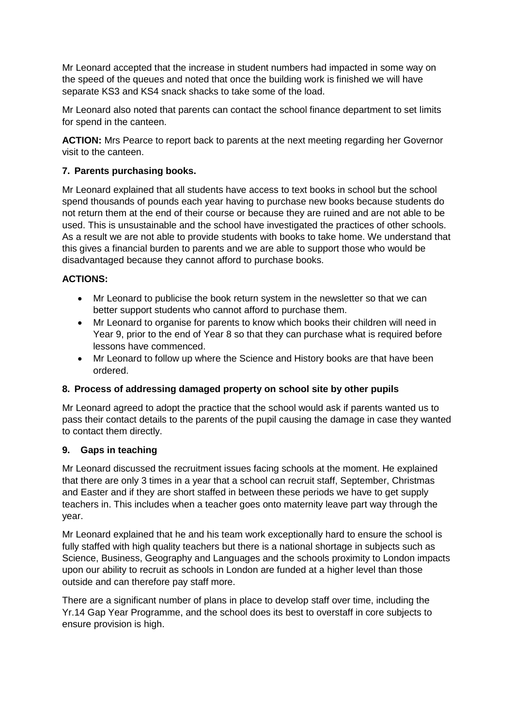Mr Leonard accepted that the increase in student numbers had impacted in some way on the speed of the queues and noted that once the building work is finished we will have separate KS3 and KS4 snack shacks to take some of the load.

Mr Leonard also noted that parents can contact the school finance department to set limits for spend in the canteen.

**ACTION:** Mrs Pearce to report back to parents at the next meeting regarding her Governor visit to the canteen.

#### **7. Parents purchasing books.**

Mr Leonard explained that all students have access to text books in school but the school spend thousands of pounds each year having to purchase new books because students do not return them at the end of their course or because they are ruined and are not able to be used. This is unsustainable and the school have investigated the practices of other schools. As a result we are not able to provide students with books to take home. We understand that this gives a financial burden to parents and we are able to support those who would be disadvantaged because they cannot afford to purchase books.

#### **ACTIONS:**

- Mr Leonard to publicise the book return system in the newsletter so that we can better support students who cannot afford to purchase them.
- Mr Leonard to organise for parents to know which books their children will need in Year 9, prior to the end of Year 8 so that they can purchase what is required before lessons have commenced.
- Mr Leonard to follow up where the Science and History books are that have been ordered.

# **8. Process of addressing damaged property on school site by other pupils**

Mr Leonard agreed to adopt the practice that the school would ask if parents wanted us to pass their contact details to the parents of the pupil causing the damage in case they wanted to contact them directly.

#### **9. Gaps in teaching**

Mr Leonard discussed the recruitment issues facing schools at the moment. He explained that there are only 3 times in a year that a school can recruit staff, September, Christmas and Easter and if they are short staffed in between these periods we have to get supply teachers in. This includes when a teacher goes onto maternity leave part way through the year.

Mr Leonard explained that he and his team work exceptionally hard to ensure the school is fully staffed with high quality teachers but there is a national shortage in subjects such as Science, Business, Geography and Languages and the schools proximity to London impacts upon our ability to recruit as schools in London are funded at a higher level than those outside and can therefore pay staff more.

There are a significant number of plans in place to develop staff over time, including the Yr.14 Gap Year Programme, and the school does its best to overstaff in core subjects to ensure provision is high.